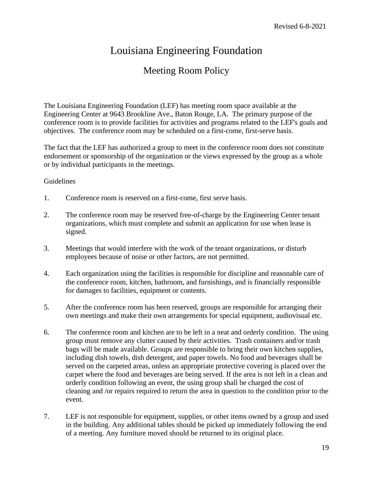## Louisiana Engineering Foundation

## Meeting Room Policy

The Louisiana Engineering Foundation (LEF) has meeting room space available at the Engineering Center at 9643 Brookline Ave., Baton Rouge, LA. The primary purpose of the conference room is to provide facilities for activities and programs related to the LEF's goals and objectives. The conference room may be scheduled on a first-come, first-serve basis.

The fact that the LEF has authorized a group to meet in the conference room does not constitute endorsement or sponsorship of the organization or the views expressed by the group as a whole or by individual participants in the meetings.

## Guidelines

- 1. Conference room is reserved on a first-come, first serve basis.
- 2. The conference room may be reserved free-of-charge by the Engineering Center tenant organizations, which must complete and submit an application for use when lease is signed.
- 3. Meetings that would interfere with the work of the tenant organizations, or disturb employees because of noise or other factors, are not permitted.
- 4. Each organization using the facilities is responsible for discipline and reasonable care of the conference room, kitchen, bathroom, and furnishings, and is financially responsible for damages to facilities, equipment or contents.
- 5. After the conference room has been reserved, groups are responsible for arranging their own meetings and make their own arrangements for special equipment, audiovisual etc.
- 6. The conference room and kitchen are to be left in a neat and orderly condition. The using group must remove any clutter caused by their activities. Trash containers and/or trash bags will be made available. Groups are responsible to bring their own kitchen supplies, including dish towels, dish detergent, and paper towels. No food and beverages shall be served on the carpeted areas, unless an appropriate protective covering is placed over the carpet where the food and beverages are being served. If the area is not left in a clean and orderly condition following an event, the using group shall be charged the cost of cleaning and /or repairs required to return the area in question to the condition prior to the event.
- 7. LEF is not responsible for equipment, supplies, or other items owned by a group and used in the building. Any additional tables should be picked up immediately following the end of a meeting. Any furniture moved should be returned to its original place.